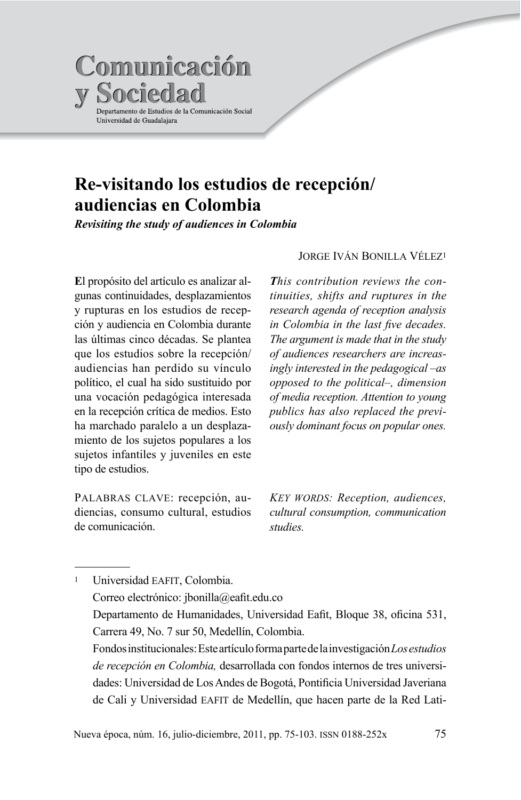

# Re-visitando los estudios de recepción/ audiencias en Colombia

Revisiting the study of audiences in Colombia

El propósito del artículo es analizar algunas continuidades, desplazamientos y rupturas en los estudios de recepción y audiencia en Colombia durante las últimas cinco décadas. Se plantea que los estudios sobre la recepción/ audiencias han perdido su vínculo político, el cual ha sido sustituido por una vocación pedagógica interesada en la recepción crítica de medios. Esto ha marchado paralelo a un desplazamiento de los sujetos populares a los sujetos infantiles y juveniles en este tipo de estudios.

PALABRAS CLAVE: recepción, audiencias, consumo cultural, estudios de comunicación

#### **JORGE IVÁN BONILLA VÉLEZ1**

This contribution reviews the continuities, shifts and ruptures in the research agenda of reception analysis in Colombia in the last five decades. The argument is made that in the study of audiences researchers are increasingly interested in the pedagogical –as opposed to the political-, dimension of media reception. Attention to young publics has also replaced the previously dominant focus on popular ones.

KEY WORDS: Reception, audiences, cultural consumption, communication studies

Universidad EAFIT, Colombia.  $\mathbf{1}$ Correo electrónico: jbonilla@eafit.edu.co Departamento de Humanidades, Universidad Eafit, Bloque 38, oficina 531, Carrera 49, No. 7 sur 50, Medellín, Colombia. Fondos institucionales: Este artículo forma parte de la investigación Los estudios de recepción en Colombia, desarrollada con fondos internos de tres universidades: Universidad de Los Andes de Bogotá, Pontificia Universidad Javeriana de Cali y Universidad EAFIT de Medellín, que hacen parte de la Red Lati-

Nueva época, núm. 16, julio-diciembre, 2011, pp. 75-103. ISSN 0188-252x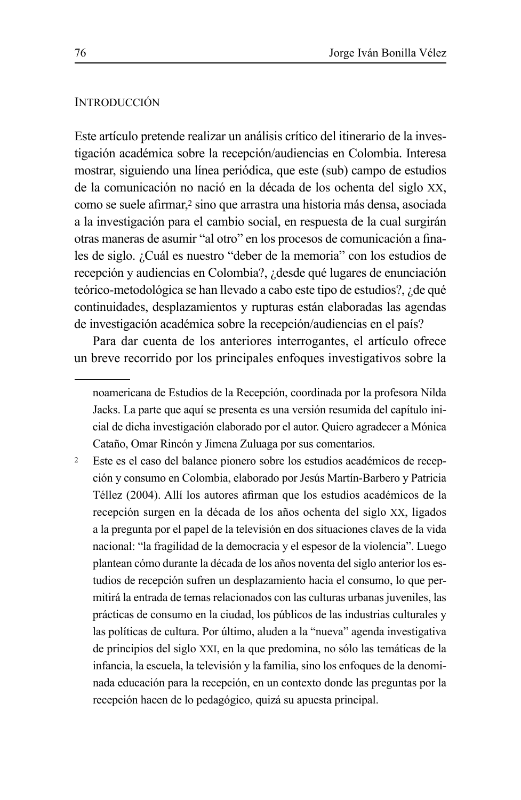# **INTRODUCCIÓN**

Este artículo pretende realizar un análisis crítico del itinerario de la investigación académica sobre la recepción/audiencias en Colombia. Interesa mostrar, siguiendo una línea periódica, que este (sub) campo de estudios de la comunicación no nació en la década de los ochenta del siglo XX, como se suele afirmar,<sup>2</sup> sino que arrastra una historia más densa, asociada a la investigación para el cambio social, en respuesta de la cual surgirán otras maneras de asumir "al otro" en los procesos de comunicación a finales de siglo. ¿Cuál es nuestro "deber de la memoria" con los estudios de recepción y audiencias en Colombia?, ¿desde qué lugares de enunciación teórico-metodológica se han llevado a cabo este tipo de estudios?, ¿de qué continuidades, desplazamientos y rupturas están elaboradas las agendas de investigación académica sobre la recepción/audiencias en el país?

Para dar cuenta de los anteriores interrogantes, el artículo ofrece un breve recorrido por los principales enfoques investigativos sobre la

 $\overline{2}$ Este es el caso del balance pionero sobre los estudios académicos de recepción y consumo en Colombia, elaborado por Jesús Martín-Barbero y Patricia Téllez (2004). Allí los autores afirman que los estudios académicos de la recepción surgen en la década de los años ochenta del siglo XX, ligados a la pregunta por el papel de la televisión en dos situaciones claves de la vida nacional: "la fragilidad de la democracia y el espesor de la violencia". Luego plantean cómo durante la década de los años noventa del siglo anterior los estudios de recepción sufren un desplazamiento hacia el consumo, lo que permitirá la entrada de temas relacionados con las culturas urbanas juveniles, las prácticas de consumo en la ciudad, los públicos de las industrias culturales y las políticas de cultura. Por último, aluden a la "nueva" agenda investigativa de principios del siglo XXI, en la que predomina, no sólo las temáticas de la infancia, la escuela, la televisión y la familia, sino los enfoques de la denominada educación para la recepción, en un contexto donde las preguntas por la recepción hacen de lo pedagógico, quizá su apuesta principal.

noamericana de Estudios de la Recepción, coordinada por la profesora Nilda Jacks. La parte que aquí se presenta es una versión resumida del capítulo inicial de dicha investigación elaborado por el autor. Quiero agradecer a Mónica Cataño, Omar Rincón y Jimena Zuluaga por sus comentarios.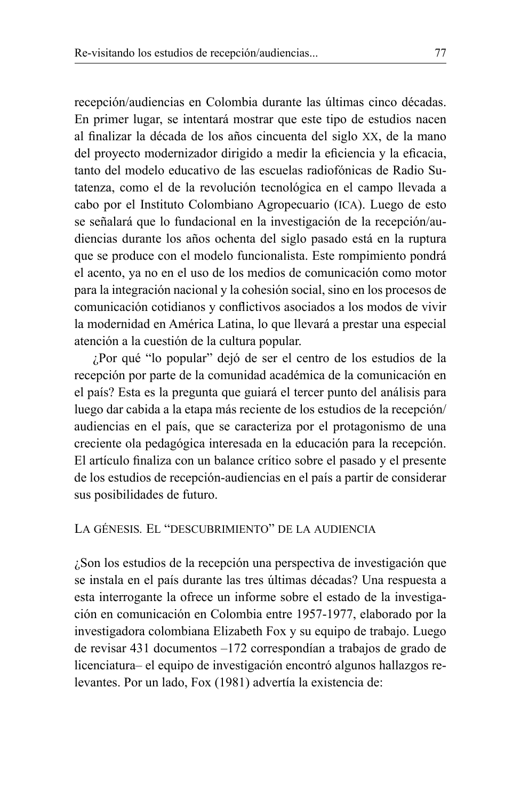recepción/audiencias en Colombia durante las últimas cinco décadas. En primer lugar, se intentará mostrar que este tipo de estudios nacen al finalizar la década de los años cincuenta del siglo XX, de la mano del proyecto modernizador dirigido a medir la eficiencia y la eficacia, tanto del modelo educativo de las escuelas radiofónicas de Radio Sutatenza, como el de la revolución tecnológica en el campo llevada a cabo por el Instituto Colombiano Agropecuario (ICA). Luego de esto se señalará que lo fundacional en la investigación de la recepción/audiencias durante los años ochenta del siglo pasado está en la ruptura que se produce con el modelo funcionalista. Este rompimiento pondrá el acento, ya no en el uso de los medios de comunicación como motor para la integración nacional y la cohesión social, sino en los procesos de comunicación cotidianos y conflictivos asociados a los modos de vivir la modernidad en América Latina, lo que llevará a prestar una especial atención a la cuestión de la cultura popular.

¿Por qué "lo popular" dejó de ser el centro de los estudios de la recepción por parte de la comunidad académica de la comunicación en el país? Esta es la pregunta que guiará el tercer punto del análisis para luego dar cabida a la etapa más reciente de los estudios de la recepción/ audiencias en el país, que se caracteriza por el protagonismo de una creciente ola pedagógica interesada en la educación para la recepción. El artículo finaliza con un balance crítico sobre el pasado y el presente de los estudios de recepción-audiencias en el país a partir de considerar sus posibilidades de futuro.

# LA GÉNESIS. EL "DESCUBRIMIENTO" DE LA AUDIENCIA

¿Son los estudios de la recepción una perspectiva de investigación que se instala en el país durante las tres últimas décadas? Una respuesta a esta interrogante la ofrece un informe sobre el estado de la investigación en comunicación en Colombia entre 1957-1977, elaborado por la investigadora colombiana Elizabeth Fox y su equipo de trabajo. Luego de revisar 431 documentos  $-172$  correspondían a trabajos de grado de licenciatura- el equipo de investigación encontró algunos hallazgos relevantes. Por un lado, Fox (1981) advertía la existencia de: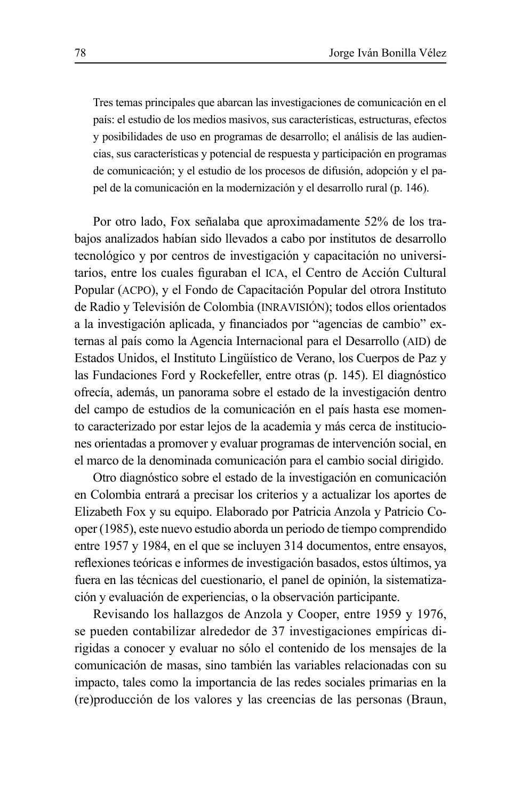Tres temas principales que abarcan las investigaciones de comunicación en el país: el estudio de los medios masivos, sus características, estructuras, efectos y posibilidades de uso en programas de desarrollo; el análisis de las audiencias, sus características y potencial de respuesta y participación en programas de comunicación; y el estudio de los procesos de difusión, adopción y el papel de la comunicación en la modernización y el desarrollo rural (p. 146).

Por otro lado, Fox señalaba que aproximadamente 52% de los trabajos analizados habían sido llevados a cabo por institutos de desarrollo tecnológico y por centros de investigación y capacitación no universitarios, entre los cuales figuraban el ICA, el Centro de Acción Cultural Popular (ACPO), y el Fondo de Capacitación Popular del otrora Instituto de Radio y Televisión de Colombia (INRAVISIÓN); todos ellos orientados a la investigación aplicada, y financiados por "agencias de cambio" externas al país como la Agencia Internacional para el Desarrollo (AID) de Estados Unidos, el Instituto Lingüístico de Verano, los Cuerpos de Paz y las Fundaciones Ford y Rockefeller, entre otras (p. 145). El diagnóstico ofrecía, además, un panorama sobre el estado de la investigación dentro del campo de estudios de la comunicación en el país hasta ese momento caracterizado por estar lejos de la academia y más cerca de instituciones orientadas a promover y evaluar programas de intervención social, en el marco de la denominada comunicación para el cambio social dirigido.

Otro diagnóstico sobre el estado de la investigación en comunicación en Colombia entrará a precisar los criterios y a actualizar los aportes de Elizabeth Fox y su equipo. Elaborado por Patricia Anzola y Patricio Cooper (1985), este nuevo estudio aborda un periodo de tiempo comprendido entre 1957 y 1984, en el que se incluyen 314 documentos, entre ensayos, reflexiones teóricas e informes de investigación basados, estos últimos, va fuera en las técnicas del cuestionario, el panel de opinión, la sistematización y evaluación de experiencias, o la observación participante.

Revisando los hallazgos de Anzola y Cooper, entre 1959 y 1976, se pueden contabilizar alrededor de 37 investigaciones empíricas dirigidas a conocer y evaluar no sólo el contenido de los mensajes de la comunicación de masas, sino también las variables relacionadas con su impacto, tales como la importancia de las redes sociales primarias en la (re) producción de los valores y las creencias de las personas (Braun,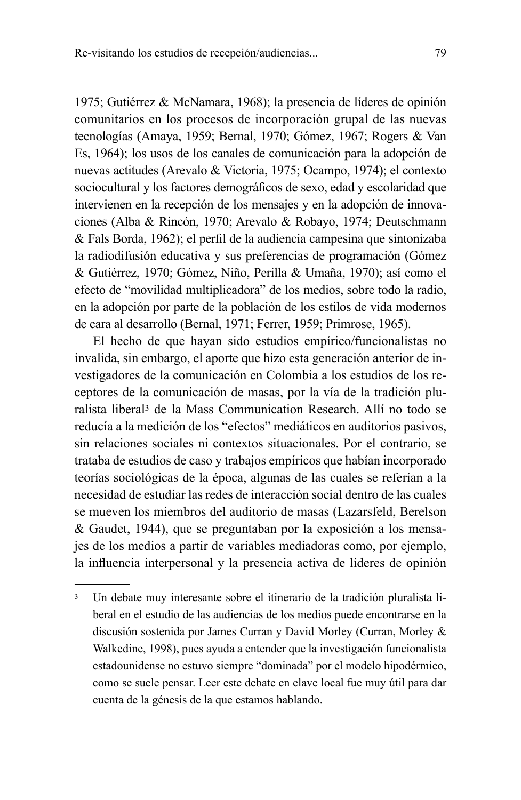1975; Gutiérrez & McNamara, 1968); la presencia de líderes de opinión comunitarios en los procesos de incorporación grupal de las nuevas tecnologías (Amaya, 1959; Bernal, 1970; Gómez, 1967; Rogers & Van Es, 1964); los usos de los canales de comunicación para la adopción de nuevas actitudes (Arevalo & Victoria, 1975; Ocampo, 1974); el contexto sociocultural y los factores demográficos de sexo, edad y escolaridad que intervienen en la recepción de los mensajes y en la adopción de innovaciones (Alba & Rincón, 1970; Arevalo & Robayo, 1974; Deutschmann & Fals Borda, 1962); el perfil de la audiencia campesina que sintonizaba la radiodifusión educativa y sus preferencias de programación (Gómez & Gutiérrez, 1970; Gómez, Niño, Perilla & Umaña, 1970); así como el efecto de "movilidad multiplicadora" de los medios, sobre todo la radio, en la adopción por parte de la población de los estilos de vida modernos de cara al desarrollo (Bernal, 1971; Ferrer, 1959; Primrose, 1965).

El hecho de que hayan sido estudios empírico/funcionalistas no invalida, sin embargo, el aporte que hizo esta generación anterior de investigadores de la comunicación en Colombia a los estudios de los receptores de la comunicación de masas, por la vía de la tradición pluralista liberal<sup>3</sup> de la Mass Communication Research. Allí no todo se reducía a la medición de los "efectos" mediáticos en auditorios pasivos, sin relaciones sociales ni contextos situacionales. Por el contrario, se trataba de estudios de caso y trabajos empíricos que habían incorporado teorías sociológicas de la época, algunas de las cuales se referían a la necesidad de estudiar las redes de interacción social dentro de las cuales se mueven los miembros del auditorio de masas (Lazarsfeld, Berelson & Gaudet, 1944), que se preguntaban por la exposición a los mensajes de los medios a partir de variables mediadoras como, por ejemplo, la influencia interpersonal y la presencia activa de líderes de opinión

 $\overline{\mathbf{3}}$ Un debate muy interesante sobre el itinerario de la tradición pluralista liberal en el estudio de las audiencias de los medios puede encontrarse en la discusión sostenida por James Curran y David Morley (Curran, Morley & Walkedine, 1998), pues ayuda a entender que la investigación funcionalista estadounidense no estuvo siempre "dominada" por el modelo hipodérmico, como se suele pensar. Leer este debate en clave local fue muy útil para dar cuenta de la génesis de la que estamos hablando.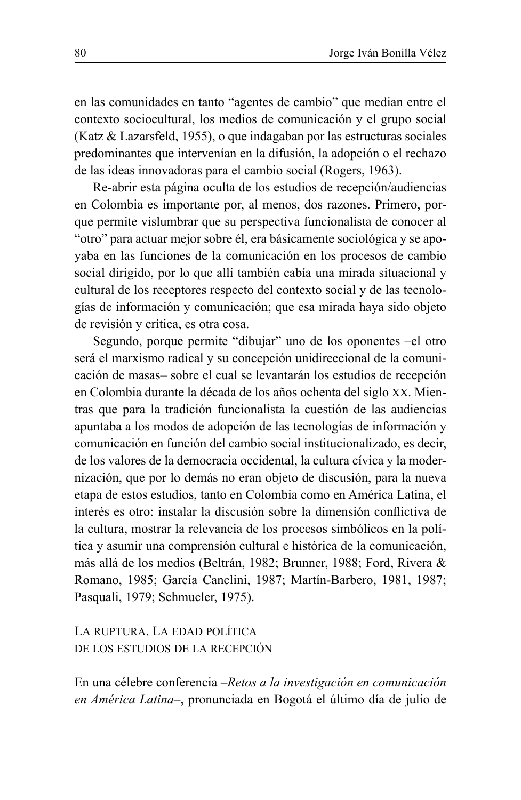en las comunidades en tanto "agentes de cambio" que median entre el contexto sociocultural, los medios de comunicación y el grupo social (Katz & Lazarsfeld, 1955), o que indagaban por las estructuras sociales predominantes que intervenían en la difusión, la adopción o el rechazo de las ideas innovadoras para el cambio social (Rogers, 1963).

Re-abrir esta página oculta de los estudios de recepción/audiencias en Colombia es importante por, al menos, dos razones. Primero, porque permite vislumbrar que su perspectiva funcionalista de conocer al "otro" para actuar mejor sobre él, era básicamente sociológica y se apoyaba en las funciones de la comunicación en los procesos de cambio social dirigido, por lo que allí también cabía una mirada situacional y cultural de los receptores respecto del contexto social y de las tecnologías de información y comunicación; que esa mirada haya sido objeto de revisión y crítica, es otra cosa.

Segundo, porque permite "dibujar" uno de los oponentes -el otro será el marxismo radical y su concepción unidireccional de la comunicación de masas-sobre el cual se levantarán los estudios de recepción en Colombia durante la década de los años ochenta del siglo XX. Mientras que para la tradición funcionalista la cuestión de las audiencias apuntaba a los modos de adopción de las tecnologías de información y comunicación en función del cambio social institucionalizado, es decir. de los valores de la democracia occidental, la cultura cívica y la modernización, que por lo demás no eran objeto de discusión, para la nueva etapa de estos estudios, tanto en Colombia como en América Latina, el interés es otro: instalar la discusión sobre la dimensión conflictiva de la cultura, mostrar la relevancia de los procesos simbólicos en la política y asumir una comprensión cultural e histórica de la comunicación, más allá de los medios (Beltrán, 1982; Brunner, 1988; Ford, Rivera & Romano, 1985; García Canclini, 1987; Martín-Barbero, 1981, 1987; Pasquali, 1979; Schmucler, 1975).

LA RUPTURA. LA EDAD POLÍTICA DE LOS ESTUDIOS DE LA RECEPCIÓN

En una célebre conferencia – Retos a la investigación en comunicación en América Latina-, pronunciada en Bogotá el último día de julio de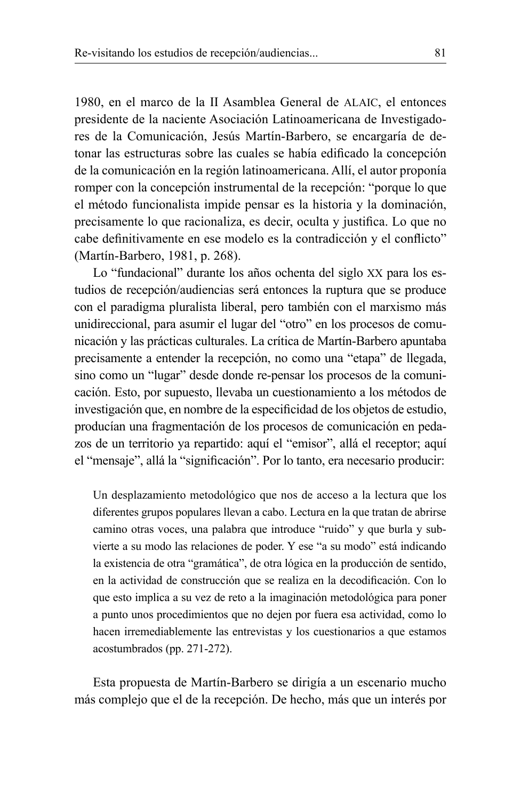1980, en el marco de la II Asamblea General de ALAIC, el entonces presidente de la naciente Asociación Latinoamericana de Investigadores de la Comunicación, Jesús Martín-Barbero, se encargaría de detonar las estructuras sobre las cuales se había edificado la concepción de la comunicación en la región latinoamericana. Allí, el autor proponía romper con la concepción instrumental de la recepción: "porque lo que el método funcionalista impide pensar es la historia y la dominación, precisamente lo que racionaliza, es decir, oculta y justifica. Lo que no cabe definitivamente en ese modelo es la contradicción y el conflicto" (Martín-Barbero, 1981, p. 268).

Lo "fundacional" durante los años ochenta del siglo XX para los estudios de recepción/audiencias será entonces la ruptura que se produce con el paradigma pluralista liberal, pero también con el marxismo más unidireccional, para asumir el lugar del "otro" en los procesos de comunicación y las prácticas culturales. La crítica de Martín-Barbero apuntaba precisamente a entender la recepción, no como una "etapa" de llegada, sino como un "lugar" desde donde re-pensar los procesos de la comunicación. Esto, por supuesto, llevaba un cuestionamiento a los métodos de investigación que, en nombre de la especificidad de los objetos de estudio, producían una fragmentación de los procesos de comunicación en pedazos de un territorio ya repartido: aquí el "emisor", allá el receptor; aquí el "mensaje", allá la "significación". Por lo tanto, era necesario producir:

Un desplazamiento metodológico que nos de acceso a la lectura que los diferentes grupos populares llevan a cabo. Lectura en la que tratan de abrirse camino otras voces, una palabra que introduce "ruido" y que burla y subvierte a su modo las relaciones de poder. Y ese "a su modo" está indicando la existencia de otra "gramática", de otra lógica en la producción de sentido, en la actividad de construcción que se realiza en la decodificación. Con lo que esto implica a su vez de reto a la imaginación metodológica para poner a punto unos procedimientos que no dejen por fuera esa actividad, como lo hacen irremediablemente las entrevistas y los cuestionarios a que estamos acostumbrados (pp. 271-272).

Esta propuesta de Martín-Barbero se dirigía a un escenario mucho más complejo que el de la recepción. De hecho, más que un interés por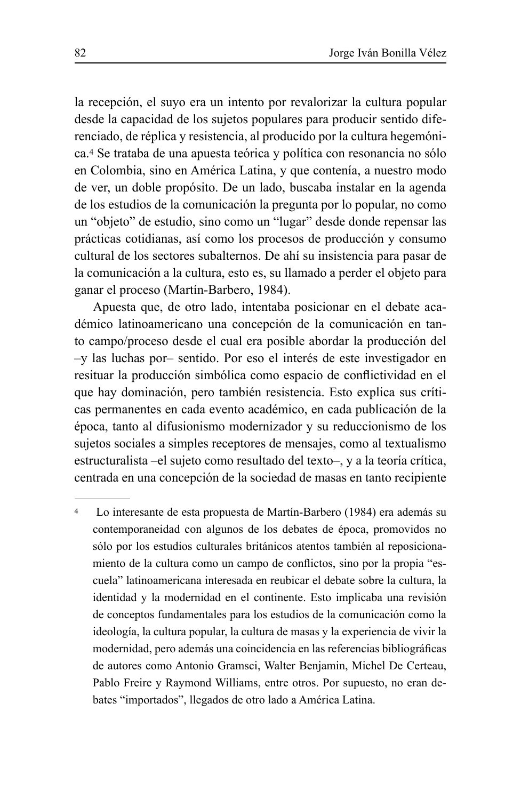la recepción, el suyo era un intento por revalorizar la cultura popular desde la capacidad de los sujetos populares para producir sentido diferenciado, de réplica y resistencia, al producido por la cultura hegemónica.<sup>4</sup> Se trataba de una apuesta teórica y política con resonancia no sólo en Colombia, sino en América Latina, y que contenía, a nuestro modo de ver, un doble propósito. De un lado, buscaba instalar en la agenda de los estudios de la comunicación la pregunta por lo popular, no como un "objeto" de estudio, sino como un "lugar" desde donde repensar las prácticas cotidianas, así como los procesos de producción y consumo cultural de los sectores subalternos. De ahí su insistencia para pasar de la comunicación a la cultura, esto es, su llamado a perder el objeto para ganar el proceso (Martín-Barbero, 1984).

Apuesta que, de otro lado, intentaba posicionar en el debate académico latinoamericano una concepción de la comunicación en tanto campo/proceso desde el cual era posible abordar la producción del -y las luchas por-sentido. Por eso el interés de este investigador en resituar la producción simbólica como espacio de conflictividad en el que hay dominación, pero también resistencia. Esto explica sus críticas permanentes en cada evento académico, en cada publicación de la época, tanto al difusionismo modernizador y su reduccionismo de los sujetos sociales a simples receptores de mensajes, como al textualismo estructuralista –el sujeto como resultado del texto–, y a la teoría crítica, centrada en una concepción de la sociedad de masas en tanto recipiente

 $\overline{4}$ Lo interesante de esta propuesta de Martín-Barbero (1984) era además su contemporaneidad con algunos de los debates de época, promovidos no sólo por los estudios culturales británicos atentos también al reposicionamiento de la cultura como un campo de conflictos, sino por la propia "escuela" latinoamericana interesada en reubicar el debate sobre la cultura, la identidad y la modernidad en el continente. Esto implicaba una revisión de conceptos fundamentales para los estudios de la comunicación como la ideología, la cultura popular, la cultura de masas y la experiencia de vivir la modernidad, pero además una coincidencia en las referencias bibliográficas de autores como Antonio Gramsci, Walter Benjamin, Michel De Certeau, Pablo Freire y Raymond Williams, entre otros. Por supuesto, no eran debates "importados", llegados de otro lado a América Latina.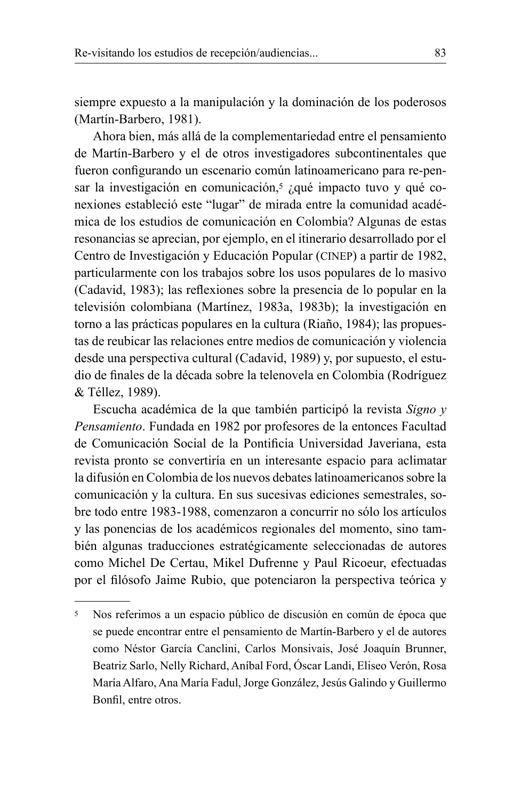siempre expuesto a la manipulación y la dominación de los poderosos (Martín-Barbero, 1981).

Ahora bien, más allá de la complementariedad entre el pensamiento de Martín-Barbero y el de otros investigadores subcontinentales que fueron configurando un escenario común latinoamericano para re-pensar la investigación en comunicación,<sup>5</sup> ¿qué impacto tuvo y qué conexiones estableció este "lugar" de mirada entre la comunidad académica de los estudios de comunicación en Colombia? Algunas de estas resonancias se aprecian, por ejemplo, en el itinerario desarrollado por el Centro de Investigación y Educación Popular (CINEP) a partir de 1982, particularmente con los trabajos sobre los usos populares de lo masivo (Cadavid, 1983); las reflexiones sobre la presencia de lo popular en la televisión colombiana (Martínez, 1983a, 1983b); la investigación en torno a las prácticas populares en la cultura (Riaño, 1984); las propuestas de reubicar las relaciones entre medios de comunicación y violencia desde una perspectiva cultural (Cadavid, 1989) y, por supuesto, el estudio de finales de la década sobre la telenovela en Colombia (Rodríguez & Téllez, 1989).

Escucha académica de la que también participó la revista Signo y Pensamiento. Fundada en 1982 por profesores de la entonces Facultad de Comunicación Social de la Pontificia Universidad Javeriana, esta revista pronto se convertiría en un interesante espacio para aclimatar la difusión en Colombia de los nuevos debates latinoamericanos sobre la comunicación y la cultura. En sus sucesivas ediciones semestrales, sobre todo entre 1983-1988, comenzaron a concurrir no sólo los artículos y las ponencias de los académicos regionales del momento, sino también algunas traducciones estratégicamente seleccionadas de autores como Michel De Certau, Mikel Dufrenne y Paul Ricoeur, efectuadas por el filósofo Jaime Rubio, que potenciaron la perspectiva teórica y

<sup>5</sup> Nos referimos a un espacio público de discusión en común de época que se puede encontrar entre el pensamiento de Martín-Barbero y el de autores como Néstor García Canclini, Carlos Monsivais, José Joaquín Brunner, Beatriz Sarlo, Nelly Richard, Aníbal Ford, Óscar Landi, Eliseo Verón, Rosa María Alfaro, Ana María Fadul, Jorge González, Jesús Galindo y Guillermo Bonfil, entre otros.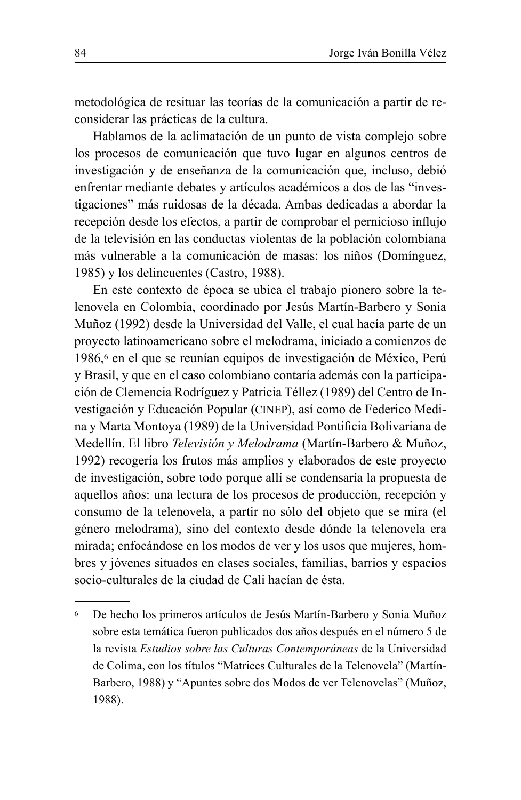metodológica de resituar las teorías de la comunicación a partir de reconsiderar las prácticas de la cultura.

Hablamos de la aclimatación de un punto de vista complejo sobre los procesos de comunicación que tuvo lugar en algunos centros de investigación y de enseñanza de la comunicación que, incluso, debió enfrentar mediante debates y artículos académicos a dos de las "investigaciones" más ruidosas de la década. Ambas dedicadas a abordar la recepción desde los efectos, a partir de comprobar el pernicioso influjo de la televisión en las conductas violentas de la población colombiana más vulnerable a la comunicación de masas: los niños (Domínguez, 1985) y los delincuentes (Castro, 1988).

En este contexto de época se ubica el trabajo pionero sobre la telenovela en Colombia, coordinado por Jesús Martín-Barbero y Sonia Muñoz (1992) desde la Universidad del Valle, el cual hacía parte de un proyecto latinoamericano sobre el melodrama, iniciado a comienzos de 1986,<sup>6</sup> en el que se reunían equipos de investigación de México, Perú y Brasil, y que en el caso colombiano contaría además con la participación de Clemencia Rodríguez y Patricia Téllez (1989) del Centro de Investigación y Educación Popular (CINEP), así como de Federico Medina y Marta Montoya (1989) de la Universidad Pontificia Bolivariana de Medellín. El libro Televisión y Melodrama (Martín-Barbero & Muñoz, 1992) recogería los frutos más amplios y elaborados de este proyecto de investigación, sobre todo porque allí se condensaría la propuesta de aquellos años: una lectura de los procesos de producción, recepción y consumo de la telenovela, a partir no sólo del objeto que se mira (el género melodrama), sino del contexto desde dónde la telenovela era mirada; enfocándose en los modos de ver y los usos que mujeres, hombres y jóvenes situados en clases sociales, familias, barrios y espacios socio-culturales de la ciudad de Cali hacían de ésta.

<sup>6</sup> De hecho los primeros artículos de Jesús Martín-Barbero y Sonia Muñoz sobre esta temática fueron publicados dos años después en el número 5 de la revista Estudios sobre las Culturas Contemporáneas de la Universidad de Colima, con los títulos "Matrices Culturales de la Telenovela" (Martín-Barbero, 1988) y "Apuntes sobre dos Modos de ver Telenovelas" (Muñoz, 1988).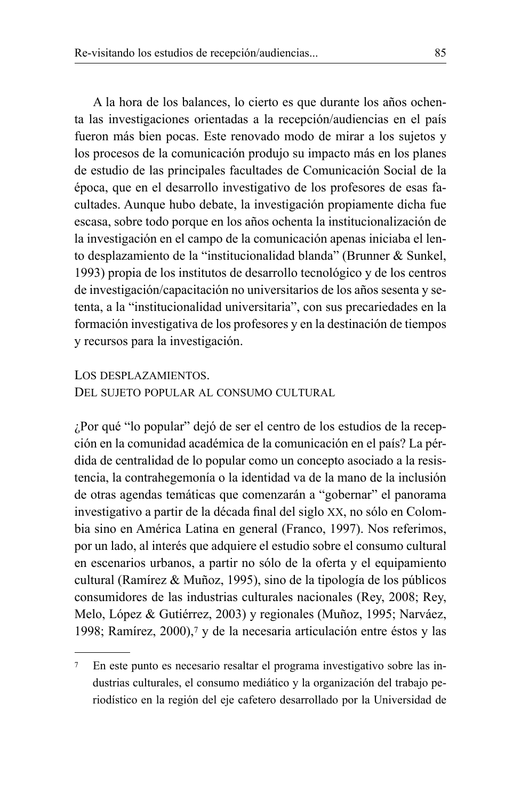A la hora de los balances, lo cierto es que durante los años ochenta las investigaciones orientadas a la recepción/audiencias en el país fueron más bien pocas. Este renovado modo de mirar a los sujetos y los procesos de la comunicación produjo su impacto más en los planes de estudio de las principales facultades de Comunicación Social de la época, que en el desarrollo investigativo de los profesores de esas facultades. Aunque hubo debate, la investigación propiamente dicha fue escasa, sobre todo porque en los años ochenta la institucionalización de la investigación en el campo de la comunicación apenas iniciaba el lento desplazamiento de la "institucionalidad blanda" (Brunner & Sunkel, 1993) propia de los institutos de desarrollo tecnológico y de los centros de investigación/capacitación no universitarios de los años sesenta y setenta, a la "institucionalidad universitaria", con sus precariedades en la formación investigativa de los profesores y en la destinación de tiempos y recursos para la investigación.

LOS DESPLAZAMIENTOS.

DEL SUJETO POPULAR AL CONSUMO CULTURAL

¿Por qué "lo popular" dejó de ser el centro de los estudios de la recepción en la comunidad académica de la comunicación en el país? La pérdida de centralidad de lo popular como un concepto asociado a la resistencia, la contrahegemonía o la identidad va de la mano de la inclusión de otras agendas temáticas que comenzarán a "gobernar" el panorama investigativo a partir de la década final del siglo XX, no sólo en Colombia sino en América Latina en general (Franco, 1997). Nos referimos, por un lado, al interés que adquiere el estudio sobre el consumo cultural en escenarios urbanos, a partir no sólo de la oferta y el equipamiento cultural (Ramírez & Muñoz, 1995), sino de la tipología de los públicos consumidores de las industrias culturales nacionales (Rey, 2008; Rey, Melo, López & Gutiérrez, 2003) y regionales (Muñoz, 1995; Narváez, 1998; Ramírez, 2000), $\frac{7}{9}$  y de la necesaria articulación entre éstos y las

<sup>&</sup>lt;sup>7</sup> En este punto es necesario resaltar el programa investigativo sobre las industrias culturales, el consumo mediático y la organización del trabajo periodístico en la región del eje cafetero desarrollado por la Universidad de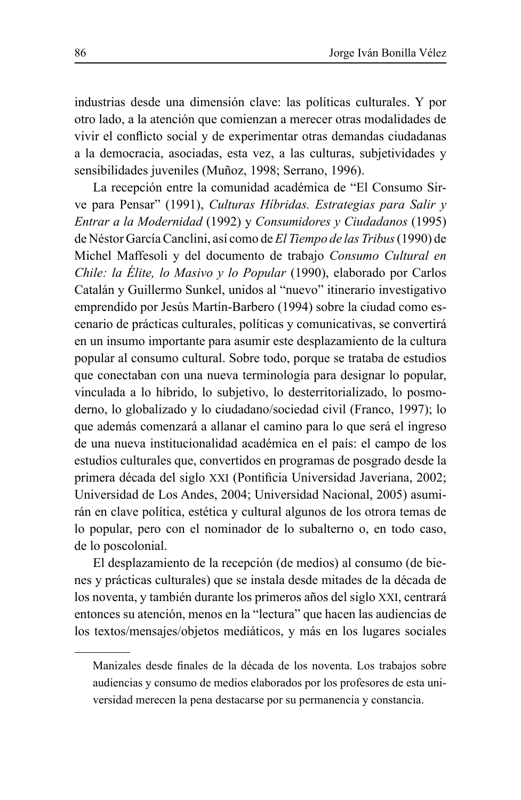industrias desde una dimensión clave: las políticas culturales. Y por otro lado, a la atención que comienzan a merecer otras modalidades de vivir el conflicto social y de experimentar otras demandas ciudadanas a la democracia, asociadas, esta vez, a las culturas, subjetividades y sensibilidades juveniles (Muñoz, 1998; Serrano, 1996).

La recepción entre la comunidad académica de "El Consumo Sirve para Pensar" (1991), Culturas Hibridas. Estrategias para Salir y Entrar a la Modernidad (1992) y Consumidores y Ciudadanos (1995) de Néstor García Canclini, así como de El Tiempo de las Tribus (1990) de Michel Maffesoli y del documento de trabajo Consumo Cultural en Chile: la Élite, lo Masivo y lo Popular (1990), elaborado por Carlos Catalán y Guillermo Sunkel, unidos al "nuevo" itinerario investigativo emprendido por Jesús Martín-Barbero (1994) sobre la ciudad como escenario de prácticas culturales, políticas y comunicativas, se convertirá en un insumo importante para asumir este desplazamiento de la cultura popular al consumo cultural. Sobre todo, porque se trataba de estudios que conectaban con una nueva terminología para designar lo popular, vinculada a lo híbrido, lo subjetivo, lo desterritorializado, lo posmoderno, lo globalizado y lo ciudadano/sociedad civil (Franco, 1997); lo que además comenzará a allanar el camino para lo que será el ingreso de una nueva institucionalidad académica en el país: el campo de los estudios culturales que, convertidos en programas de posgrado desde la primera década del siglo XXI (Pontificia Universidad Javeriana, 2002; Universidad de Los Andes, 2004; Universidad Nacional, 2005) asumirán en clave política, estética y cultural algunos de los otrora temas de lo popular, pero con el nominador de lo subalterno o, en todo caso, de lo poscolonial.

El desplazamiento de la recepción (de medios) al consumo (de bienes y prácticas culturales) que se instala desde mitades de la década de los noventa, y también durante los primeros años del siglo XXI, centrará entonces su atención, menos en la "lectura" que hacen las audiencias de los textos/mensajes/objetos mediáticos, y más en los lugares sociales

Manizales desde finales de la década de los noventa. Los trabajos sobre audiencias y consumo de medios elaborados por los profesores de esta universidad merecen la pena destacarse por su permanencia y constancia.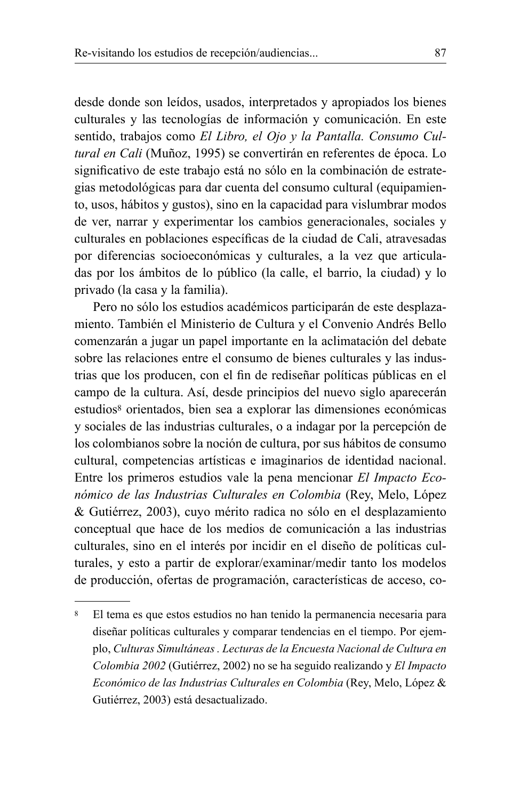desde donde son leídos, usados, interpretados y apropiados los bienes culturales y las tecnologías de información y comunicación. En este sentido, trabajos como El Libro, el Ojo y la Pantalla. Consumo Cultural en Cali (Muñoz, 1995) se convertirán en referentes de época. Lo significativo de este trabajo está no sólo en la combinación de estrategias metodológicas para dar cuenta del consumo cultural (equipamiento, usos, hábitos y gustos), sino en la capacidad para vislumbrar modos de ver, narrar y experimentar los cambios generacionales, sociales y culturales en poblaciones específicas de la ciudad de Cali, atravesadas por diferencias socioeconómicas y culturales, a la vez que articuladas por los ámbitos de lo público (la calle, el barrio, la ciudad) y lo privado (la casa y la familia).

Pero no sólo los estudios académicos participarán de este desplazamiento. También el Ministerio de Cultura y el Convenio Andrés Bello comenzarán a jugar un papel importante en la aclimatación del debate sobre las relaciones entre el consumo de bienes culturales y las industrias que los producen, con el fin de rediseñar políticas públicas en el campo de la cultura. Así, desde principios del nuevo siglo aparecerán estudios<sup>8</sup> orientados, bien sea a explorar las dimensiones económicas y sociales de las industrias culturales, o a indagar por la percepción de los colombianos sobre la noción de cultura, por sus hábitos de consumo cultural, competencias artísticas e imaginarios de identidad nacional. Entre los primeros estudios vale la pena mencionar El Impacto Económico de las Industrias Culturales en Colombia (Rey, Melo, López & Gutiérrez, 2003), cuvo mérito radica no sólo en el desplazamiento conceptual que hace de los medios de comunicación a las industrias culturales, sino en el interés por incidir en el diseño de políticas culturales, y esto a partir de explorar/examinar/medir tanto los modelos de producción, ofertas de programación, características de acceso, co-

<sup>8</sup> El tema es que estos estudios no han tenido la permanencia necesaria para diseñar políticas culturales y comparar tendencias en el tiempo. Por ejemplo, Culturas Simultáneas. Lecturas de la Encuesta Nacional de Cultura en Colombia 2002 (Gutiérrez, 2002) no se ha seguido realizando y El Impacto Económico de las Industrias Culturales en Colombia (Rey, Melo, López & Gutiérrez, 2003) está desactualizado.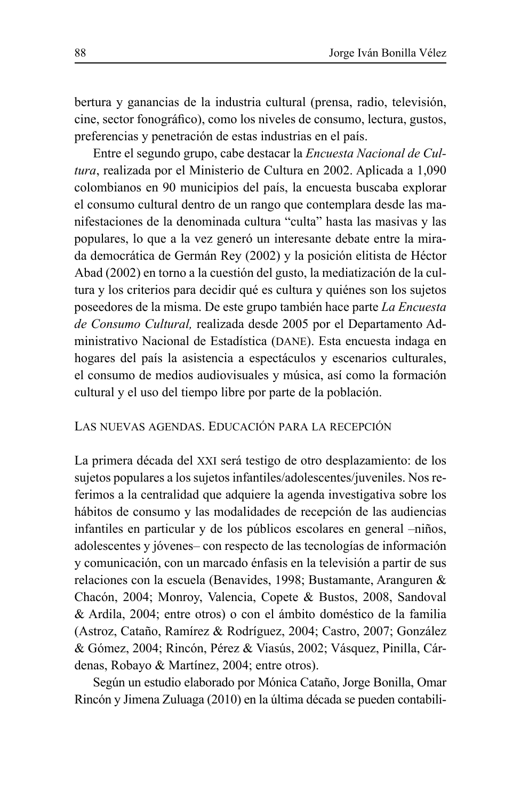bertura y ganancias de la industria cultural (prensa, radio, televisión, cine, sector fonográfico), como los niveles de consumo, lectura, gustos, preferencias y penetración de estas industrias en el país.

Entre el segundo grupo, cabe destacar la Encuesta Nacional de Cultura, realizada por el Ministerio de Cultura en 2002. Aplicada a 1,090 colombianos en 90 municipios del país, la encuesta buscaba explorar el consumo cultural dentro de un rango que contemplara desde las manifestaciones de la denominada cultura "culta" hasta las masivas y las populares, lo que a la vez generó un interesante debate entre la mirada democrática de Germán Rey (2002) y la posición elitista de Héctor Abad (2002) en torno a la cuestión del gusto, la mediatización de la cultura y los criterios para decidir qué es cultura y quiénes son los sujetos poseedores de la misma. De este grupo también hace parte La Encuesta de Consumo Cultural, realizada desde 2005 por el Departamento Administrativo Nacional de Estadística (DANE). Esta encuesta indaga en hogares del país la asistencia a espectáculos y escenarios culturales, el consumo de medios audiovisuales y música, así como la formación cultural y el uso del tiempo libre por parte de la población.

# LAS NUEVAS AGENDAS. EDUCACIÓN PARA LA RECEPCIÓN

La primera década del XXI será testigo de otro desplazamiento: de los sujetos populares a los sujetos infantiles/adolescentes/juveniles. Nos referimos a la centralidad que adquiere la agenda investigativa sobre los hábitos de consumo y las modalidades de recepción de las audiencias infantiles en particular y de los públicos escolares en general -niños, adolescentes y jóvenes— con respecto de las tecnologías de información y comunicación, con un marcado énfasis en la televisión a partir de sus relaciones con la escuela (Benavides, 1998; Bustamante, Aranguren & Chacón, 2004; Monroy, Valencia, Copete & Bustos, 2008, Sandoval & Ardila, 2004; entre otros) o con el ámbito doméstico de la familia (Astroz, Cataño, Ramírez & Rodríguez, 2004; Castro, 2007; González & Gómez, 2004; Rincón, Pérez & Viasús, 2002; Vásquez, Pinilla, Cárdenas, Robayo & Martínez, 2004; entre otros).

Según un estudio elaborado por Mónica Cataño, Jorge Bonilla, Omar Rincón y Jimena Zuluaga (2010) en la última década se pueden contabili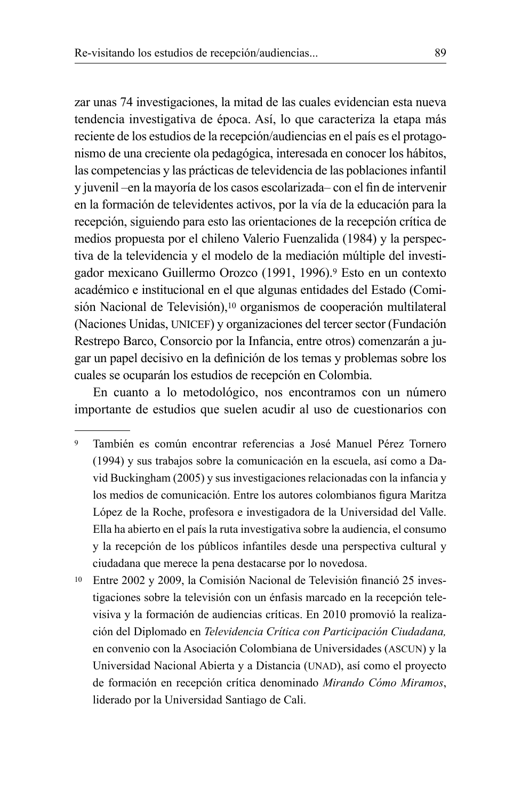zar unas 74 investigaciones, la mitad de las cuales evidencian esta nueva tendencia investigativa de época. Así, lo que caracteriza la etapa más reciente de los estudios de la recepción/audiencias en el país es el protagonismo de una creciente ola pedagógica, interesada en conocer los hábitos, las competencias y las prácticas de televidencia de las poblaciones infantil y juvenil - en la mayoría de los casos escolarizada - con el fin de intervenir en la formación de televidentes activos, por la vía de la educación para la recepción, siguiendo para esto las orientaciones de la recepción crítica de medios propuesta por el chileno Valerio Fuenzalida (1984) y la perspectiva de la televidencia y el modelo de la mediación múltiple del investigador mexicano Guillermo Orozco (1991, 1996).<sup>9</sup> Esto en un contexto académico e institucional en el que algunas entidades del Estado (Comisión Nacional de Televisión),<sup>10</sup> organismos de cooperación multilateral (Naciones Unidas, UNICEF) y organizaciones del tercer sector (Fundación Restrepo Barco, Consorcio por la Infancia, entre otros) comenzarán a jugar un papel decisivo en la definición de los temas y problemas sobre los cuales se ocuparán los estudios de recepción en Colombia.

En cuanto a lo metodológico, nos encontramos con un número importante de estudios que suelen acudir al uso de cuestionarios con

- $\overline{9}$ También es común encontrar referencias a José Manuel Pérez Tornero (1994) y sus trabajos sobre la comunicación en la escuela, así como a David Buckingham (2005) y sus investigaciones relacionadas con la infancia y los medios de comunicación. Entre los autores colombianos figura Maritza López de la Roche, profesora e investigadora de la Universidad del Valle. Ella ha abierto en el país la ruta investigativa sobre la audiencia, el consumo y la recepción de los públicos infantiles desde una perspectiva cultural y ciudadana que merece la pena destacarse por lo novedosa.
- <sup>10</sup> Entre 2002 y 2009, la Comisión Nacional de Televisión financió 25 investigaciones sobre la televisión con un énfasis marcado en la recepción televisiva y la formación de audiencias críticas. En 2010 promovió la realización del Diplomado en Televidencia Crítica con Participación Ciudadana, en convenio con la Asociación Colombiana de Universidades (ASCUN) y la Universidad Nacional Abierta y a Distancia (UNAD), así como el proyecto de formación en recepción crítica denominado Mirando Cómo Miramos, liderado por la Universidad Santiago de Cali.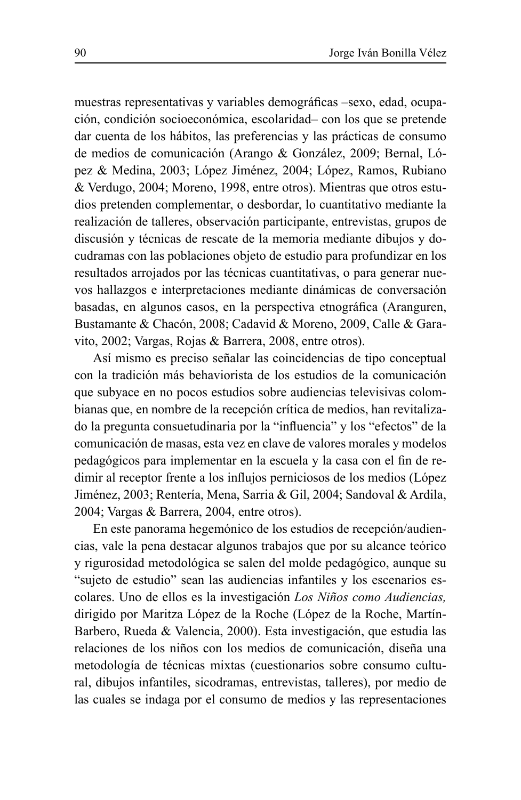muestras representativas y variables demográficas -sexo, edad, ocupación, condición socioeconómica, escolaridad-con los que se pretende dar cuenta de los hábitos, las preferencias y las prácticas de consumo de medios de comunicación (Arango & González, 2009; Bernal, López & Medina, 2003; López Jiménez, 2004; López, Ramos, Rubiano & Verdugo, 2004; Moreno, 1998, entre otros). Mientras que otros estudios pretenden complementar, o desbordar, lo cuantitativo mediante la realización de talleres, observación participante, entrevistas, grupos de discusión y técnicas de rescate de la memoria mediante dibujos y docudramas con las poblaciones objeto de estudio para profundizar en los resultados arrojados por las técnicas cuantitativas, o para generar nuevos hallazgos e interpretaciones mediante dinámicas de conversación basadas, en algunos casos, en la perspectiva etnográfica (Aranguren, Bustamante & Chacón, 2008; Cadavid & Moreno, 2009, Calle & Garavito, 2002; Vargas, Rojas & Barrera, 2008, entre otros).

Así mismo es preciso señalar las coincidencias de tipo conceptual con la tradición más behaviorista de los estudios de la comunicación que subyace en no pocos estudios sobre audiencias televisivas colombianas que, en nombre de la recepción crítica de medios, han revitalizado la pregunta consuetudinaria por la "influencia" y los "efectos" de la comunicación de masas, esta vez en clave de valores morales y modelos pedagógicos para implementar en la escuela y la casa con el fin de redimir al receptor frente a los influjos perniciosos de los medios (López Jiménez, 2003; Rentería, Mena, Sarria & Gil, 2004; Sandoval & Ardila, 2004; Vargas & Barrera, 2004, entre otros).

En este panorama hegemónico de los estudios de recepción/audiencias, vale la pena destacar algunos trabajos que por su alcance teórico y rigurosidad metodológica se salen del molde pedagógico, aunque su "sujeto de estudio" sean las audiencias infantiles y los escenarios escolares. Uno de ellos es la investigación Los Niños como Audiencias, dirigido por Maritza López de la Roche (López de la Roche, Martín-Barbero, Rueda & Valencia, 2000). Esta investigación, que estudia las relaciones de los niños con los medios de comunicación, diseña una metodología de técnicas mixtas (cuestionarios sobre consumo cultural, dibujos infantiles, sicodramas, entrevistas, talleres), por medio de las cuales se indaga por el consumo de medios y las representaciones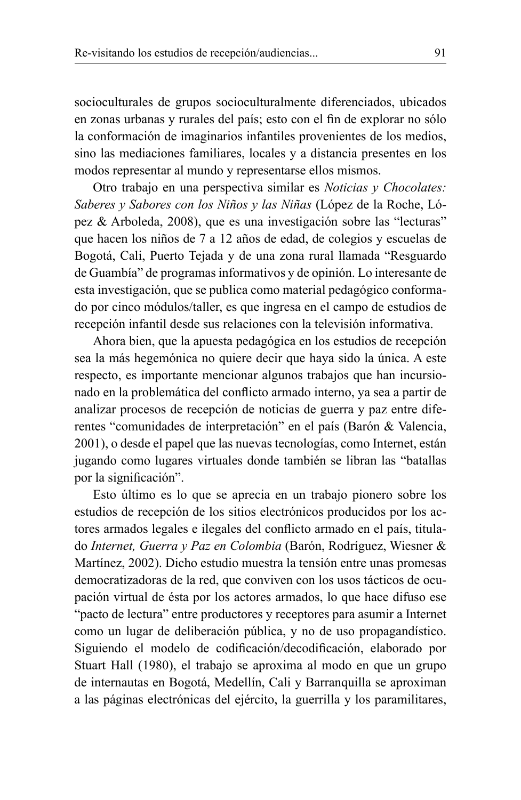socioculturales de grupos socioculturalmente diferenciados, ubicados en zonas urbanas y rurales del país; esto con el fin de explorar no sólo la conformación de imaginarios infantiles provenientes de los medios, sino las mediaciones familiares, locales y a distancia presentes en los modos representar al mundo y representarse ellos mismos.

Otro trabajo en una perspectiva similar es Noticias y Chocolates: Saberes y Sabores con los Niños y las Niñas (López de la Roche, López & Arboleda, 2008), que es una investigación sobre las "lecturas" que hacen los niños de 7 a 12 años de edad, de colegios y escuelas de Bogotá, Cali, Puerto Tejada y de una zona rural llamada "Resguardo de Guambía" de programas informativos y de opinión. Lo interesante de esta investigación, que se publica como material pedagógico conformado por cinco módulos/taller, es que ingresa en el campo de estudios de recepción infantil desde sus relaciones con la televisión informativa.

Ahora bien, que la apuesta pedagógica en los estudios de recepción sea la más hegemónica no quiere decir que haya sido la única. A este respecto, es importante mencionar algunos trabajos que han incursionado en la problemática del conflicto armado interno, ya sea a partir de analizar procesos de recepción de noticias de guerra y paz entre diferentes "comunidades de interpretación" en el país (Barón & Valencia, 2001), o desde el papel que las nuevas tecnologías, como Internet, están jugando como lugares virtuales donde también se libran las "batallas por la significación".

Esto último es lo que se aprecia en un trabajo pionero sobre los estudios de recepción de los sitios electrónicos producidos por los actores armados legales e ilegales del conflicto armado en el país, titulado Internet, Guerra y Paz en Colombia (Barón, Rodríguez, Wiesner & Martínez, 2002). Dicho estudio muestra la tensión entre unas promesas democratizadoras de la red, que conviven con los usos tácticos de ocupación virtual de ésta por los actores armados, lo que hace difuso ese "pacto de lectura" entre productores y receptores para asumir a Internet como un lugar de deliberación pública, y no de uso propagandístico. Siguiendo el modelo de codificación/decodificación, elaborado por Stuart Hall (1980), el trabajo se aproxima al modo en que un grupo de internautas en Bogotá, Medellín, Cali y Barranquilla se aproximan a las páginas electrónicas del ejército, la guerrilla y los paramilitares,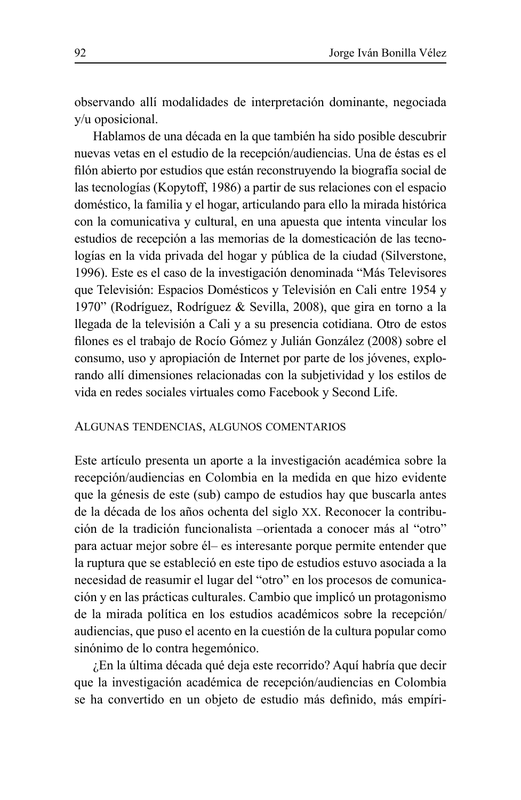observando allí modalidades de interpretación dominante, negociada v/u oposicional.

Hablamos de una década en la que también ha sido posible descubrir nuevas vetas en el estudio de la recepción/audiencias. Una de éstas es el filón abierto por estudios que están reconstruyendo la biografía social de las tecnologías (Kopytoff, 1986) a partir de sus relaciones con el espacio doméstico, la familia y el hogar, articulando para ello la mirada histórica con la comunicativa y cultural, en una apuesta que intenta vincular los estudios de recepción a las memorias de la domesticación de las tecnologías en la vida privada del hogar y pública de la ciudad (Silverstone, 1996). Este es el caso de la investigación denominada "Más Televisores" que Televisión: Espacios Domésticos y Televisión en Cali entre 1954 y 1970" (Rodríguez, Rodríguez & Sevilla, 2008), que gira en torno a la llegada de la televisión a Cali y a su presencia cotidiana. Otro de estos filones es el trabajo de Rocio Gómez y Julián González (2008) sobre el consumo, uso y apropiación de Internet por parte de los jóvenes, explorando allí dimensiones relacionadas con la subjetividad y los estilos de vida en redes sociales virtuales como Facebook y Second Life.

### ALGUNAS TENDENCIAS, ALGUNOS COMENTARIOS

Este artículo presenta un aporte a la investigación académica sobre la recepción/audiencias en Colombia en la medida en que hizo evidente que la génesis de este (sub) campo de estudios hay que buscarla antes de la década de los años ochenta del siglo XX. Reconocer la contribución de la tradición funcionalista -orientada a conocer más al "otro" para actuar mejor sobre él- es interesante porque permite entender que la ruptura que se estableció en este tipo de estudios estuvo asociada a la necesidad de reasumir el lugar del "otro" en los procesos de comunicación y en las prácticas culturales. Cambio que implicó un protagonismo de la mirada política en los estudios académicos sobre la recepción/ audiencias, que puso el acento en la cuestión de la cultura popular como sinónimo de lo contra hegemónico.

¿En la última década qué deja este recorrido? Aquí habría que decir que la investigación académica de recepción/audiencias en Colombia se ha convertido en un objeto de estudio más definido, más empíri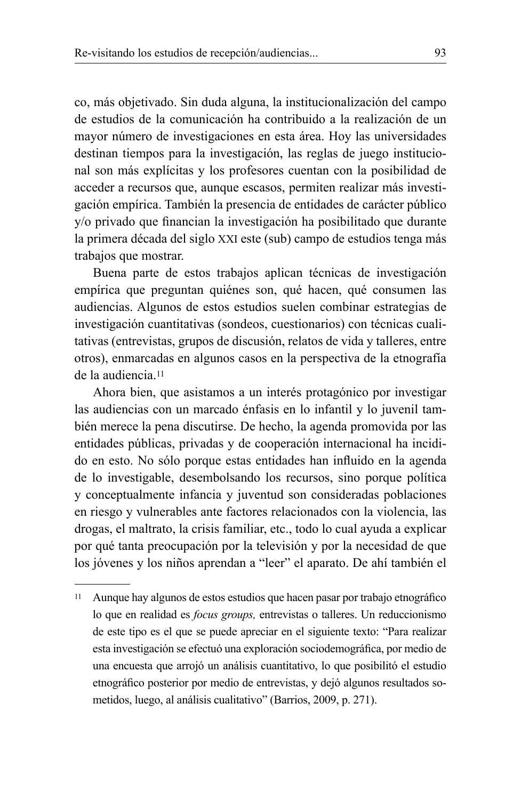co, más objetivado. Sin duda alguna, la institucionalización del campo de estudios de la comunicación ha contribuido a la realización de un mayor número de investigaciones en esta área. Hoy las universidades destinan tiempos para la investigación, las reglas de juego institucional son más explícitas y los profesores cuentan con la posibilidad de acceder a recursos que, aunque escasos, permiten realizar más investigación empírica. También la presencia de entidades de carácter público y/o privado que financian la investigación ha posibilitado que durante la primera década del siglo XXI este (sub) campo de estudios tenga más trabajos que mostrar.

Buena parte de estos trabajos aplican técnicas de investigación empírica que preguntan quiénes son, qué hacen, qué consumen las audiencias. Algunos de estos estudios suelen combinar estrategias de investigación cuantitativas (sondeos, cuestionarios) con técnicas cualitativas (entrevistas, grupos de discusión, relatos de vida y talleres, entre otros), enmarcadas en algunos casos en la perspectiva de la etnografía de la audiencia.<sup>11</sup>

Ahora bien, que asistamos a un interés protagónico por investigar las audiencias con un marcado énfasis en lo infantil y lo juvenil también merece la pena discutirse. De hecho, la agenda promovida por las entidades públicas, privadas y de cooperación internacional ha incidido en esto. No sólo porque estas entidades han influido en la agenda de lo investigable, desembolsando los recursos, sino porque política y conceptualmente infancia y juventud son consideradas poblaciones en riesgo y vulnerables ante factores relacionados con la violencia, las drogas, el maltrato, la crisis familiar, etc., todo lo cual ayuda a explicar por qué tanta preocupación por la televisión y por la necesidad de que los jóvenes y los niños aprendan a "leer" el aparato. De ahí también el

<sup>&</sup>lt;sup>11</sup> Aunque hay algunos de estos estudios que hacen pasar por trabajo etnográfico lo que en realidad es focus groups, entrevistas o talleres. Un reduccionismo de este tipo es el que se puede apreciar en el siguiente texto: "Para realizar esta investigación se efectuó una exploración sociodemográfica, por medio de una encuesta que arrojó un análisis cuantitativo, lo que posibilitó el estudio etnográfico posterior por medio de entrevistas, y dejó algunos resultados sometidos, luego, al análisis cualitativo" (Barrios, 2009, p. 271).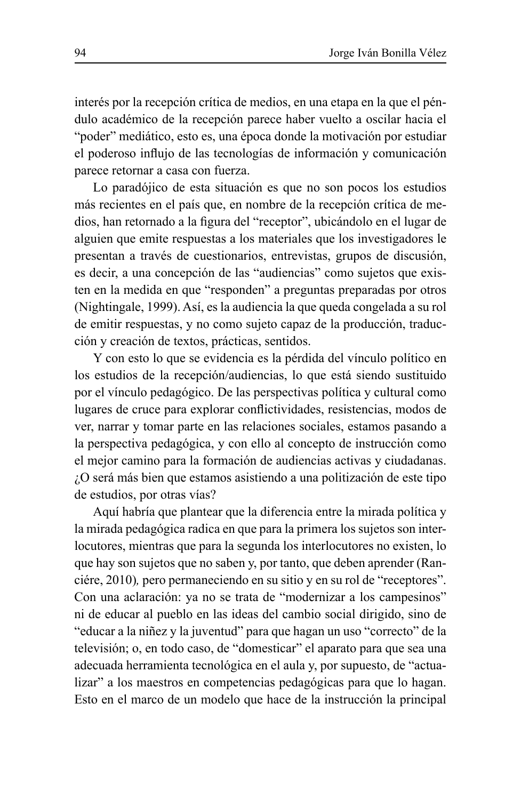interés por la recepción crítica de medios, en una etapa en la que el péndulo académico de la recepción parece haber vuelto a oscilar hacia el "poder" mediático, esto es, una época donde la motivación por estudiar el poderoso influjo de las tecnologías de información y comunicación parece retornar a casa con fuerza.

Lo paradójico de esta situación es que no son pocos los estudios más recientes en el país que, en nombre de la recepción crítica de medios, han retornado a la figura del "receptor", ubicándolo en el lugar de alguien que emite respuestas a los materiales que los investigadores le presentan a través de cuestionarios, entrevistas, grupos de discusión, es decir, a una concepción de las "audiencias" como sujetos que existen en la medida en que "responden" a preguntas preparadas por otros (Nightingale, 1999). Así, es la audiencia la que queda congelada a su rol de emitir respuestas, y no como sujeto capaz de la producción, traducción y creación de textos, prácticas, sentidos.

Y con esto lo que se evidencia es la pérdida del vínculo político en los estudios de la recepción/audiencias, lo que está siendo sustituido por el vínculo pedagógico. De las perspectivas política y cultural como lugares de cruce para explorar conflictividades, resistencias, modos de ver, narrar y tomar parte en las relaciones sociales, estamos pasando a la perspectiva pedagógica, y con ello al concepto de instrucción como el mejor camino para la formación de audiencias activas y ciudadanas. ¿O será más bien que estamos asistiendo a una politización de este tipo de estudios, por otras vías?

Aquí habría que plantear que la diferencia entre la mirada política y la mirada pedagógica radica en que para la primera los sujetos son interlocutores, mientras que para la segunda los interlocutores no existen, lo que hay son sujetos que no saben y, por tanto, que deben aprender (Ranciére, 2010), pero permaneciendo en su sitio y en su rol de "receptores". Con una aclaración: ya no se trata de "modernizar a los campesinos" ni de educar al pueblo en las ideas del cambio social dirigido, sino de "educar a la niñez y la juventud" para que hagan un uso "correcto" de la televisión; o, en todo caso, de "domesticar" el aparato para que sea una adecuada herramienta tecnológica en el aula y, por supuesto, de "actualizar" a los maestros en competencias pedagógicas para que lo hagan. Esto en el marco de un modelo que hace de la instrucción la principal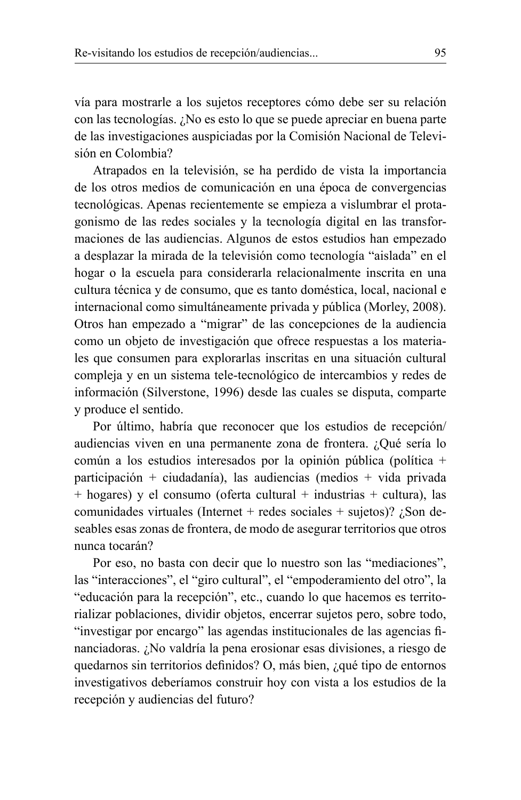vía para mostrarle a los sujetos receptores cómo debe ser su relación con las tecnologías. ¿No es esto lo que se puede apreciar en buena parte de las investigaciones auspiciadas por la Comisión Nacional de Televisión en Colombia?

Atrapados en la televisión, se ha perdido de vista la importancia de los otros medios de comunicación en una época de convergencias tecnológicas. Apenas recientemente se empieza a vislumbrar el protagonismo de las redes sociales y la tecnología digital en las transformaciones de las audiencias. Algunos de estos estudios han empezado a desplazar la mirada de la televisión como tecnología "aislada" en el hogar o la escuela para considerarla relacionalmente inscrita en una cultura técnica y de consumo, que es tanto doméstica, local, nacional e internacional como simultáneamente privada y pública (Morley, 2008). Otros han empezado a "migrar" de las concepciones de la audiencia como un objeto de investigación que ofrece respuestas a los materiales que consumen para explorarlas inscritas en una situación cultural compleja y en un sistema tele-tecnológico de intercambios y redes de información (Silverstone, 1996) desde las cuales se disputa, comparte v produce el sentido.

Por último, habría que reconocer que los estudios de recepción/ audiencias viven en una permanente zona de frontera. ¿Qué sería lo común a los estudios interesados por la opinión pública (política + participación + ciudadanía), las audiencias (medios + vida privada  $+$  hogares) y el consumo (oferta cultural  $+$  industrias  $+$  cultura), las comunidades virtuales (Internet + redes sociales + sujetos)?  $\chi$ Son deseables esas zonas de frontera, de modo de asegurar territorios que otros nunca tocarán?

Por eso, no basta con decir que lo nuestro son las "mediaciones". las "interacciones", el "giro cultural", el "empoderamiento del otro", la "educación para la recepción", etc., cuando lo que hacemos es territorializar poblaciones, dividir objetos, encerrar sujetos pero, sobre todo, "investigar por encargo" las agendas institucionales de las agencias financiadoras. ¿No valdría la pena erosionar esas divisiones, a riesgo de quedarnos sin territorios definidos? O, más bien, ¿qué tipo de entornos investigativos deberíamos construir hoy con vista a los estudios de la recepción y audiencias del futuro?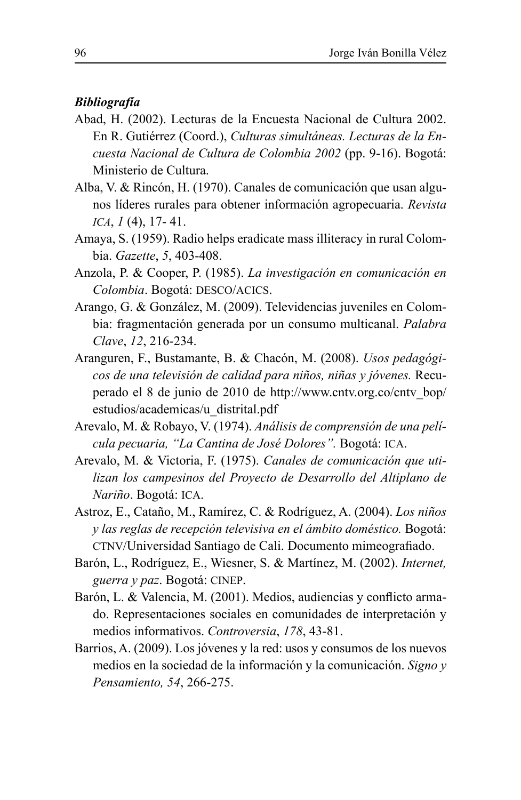# **Bibliografía**

- Abad, H. (2002). Lecturas de la Encuesta Nacional de Cultura 2002. En R. Gutiérrez (Coord.), Culturas simultáneas. Lecturas de la Encuesta Nacional de Cultura de Colombia 2002 (pp. 9-16). Bogotá: Ministerio de Cultura.
- Alba, V. & Rincón, H. (1970). Canales de comunicación que usan algunos líderes rurales para obtener información agropecuaria. Revista ICA,  $1(4)$ , 17-41.
- Amaya, S. (1959). Radio helps eradicate mass illiteracy in rural Colombia. Gazette, 5, 403-408.
- Anzola, P. & Cooper, P. (1985). La investigación en comunicación en Colombia. Bogotá: DESCO/ACICS.
- Arango, G. & González, M. (2009). Televidencias juveniles en Colombia: fragmentación generada por un consumo multicanal. Palabra Clave, 12, 216-234.
- Aranguren, F., Bustamante, B. & Chacón, M. (2008). Usos pedagógicos de una televisión de calidad para niños, niñas y jóvenes. Recuperado el 8 de junio de 2010 de http://www.cntv.org.co/cntv bop/ estudios/academicas/u distrital.pdf
- Arevalo, M. & Robayo, V. (1974). Análisis de comprensión de una película pecuaria, "La Cantina de José Dolores". Bogotá: ICA.
- Arevalo, M. & Victoria, F. (1975). Canales de comunicación que utilizan los campesinos del Proyecto de Desarrollo del Altiplano de Nariño. Bogotá: ICA.
- Astroz, E., Cataño, M., Ramírez, C. & Rodríguez, A. (2004). Los niños y las reglas de recepción televisiva en el ámbito doméstico. Bogotá: CTNV/Universidad Santiago de Cali. Documento mimeografiado.
- Barón, L., Rodríguez, E., Wiesner, S. & Martínez, M. (2002). *Internet*, guerra y paz. Bogotá: CINEP.
- Barón, L. & Valencia, M. (2001). Medios, audiencias y conflicto armado. Representaciones sociales en comunidades de interpretación y medios informativos. Controversia, 178, 43-81.
- Barrios, A. (2009). Los jóvenes y la red: usos y consumos de los nuevos medios en la sociedad de la información y la comunicación. Signo y Pensamiento, 54, 266-275.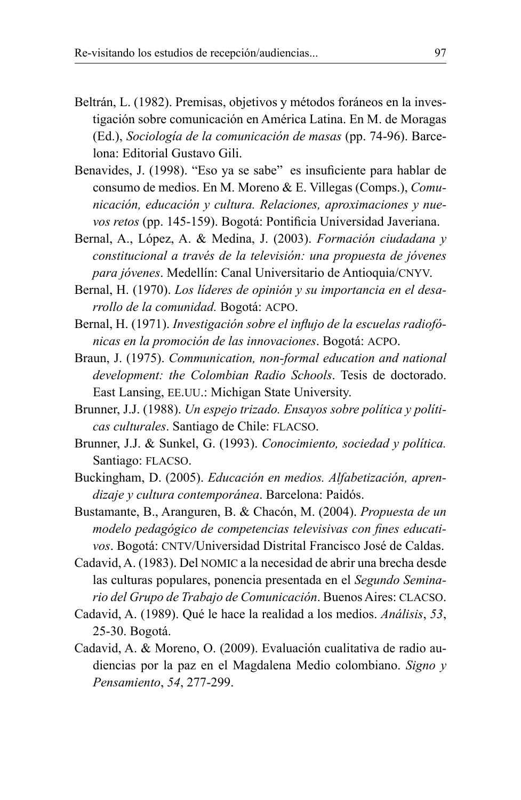- Beltrán, L. (1982). Premisas, objetivos y métodos foráneos en la investigación sobre comunicación en América Latina. En M. de Moragas (Ed.), Sociología de la comunicación de masas (pp. 74-96). Barcelona: Editorial Gustavo Gili
- Benavides, J. (1998). "Eso ya se sabe" es insuficiente para hablar de consumo de medios. En M. Moreno & E. Villegas (Comps.), Comunicación, educación y cultura. Relaciones, aproximaciones y nuevos retos (pp. 145-159). Bogotá: Pontificia Universidad Javeriana.
- Bernal, A., López, A. & Medina, J. (2003). Formación ciudadana y constitucional a través de la televisión: una propuesta de jóvenes para jóvenes. Medellín: Canal Universitario de Antioquia/CNYV.
- Bernal, H. (1970). Los líderes de opinión y su importancia en el desarrollo de la comunidad. Bogotá: ACPO.
- Bernal, H. (1971). Investigación sobre el influjo de la escuelas radiofónicas en la promoción de las innovaciones. Bogotá: ACPO.
- Braun, J. (1975). Communication, non-formal education and national development: the Colombian Radio Schools. Tesis de doctorado. East Lansing, EE.UU.: Michigan State University.
- Brunner, J.J. (1988). Un espejo trizado. Ensayos sobre política y políticas culturales. Santiago de Chile: FLACSO.
- Brunner, J.J. & Sunkel, G. (1993). Conocimiento, sociedad y política. Santiago: FLACSO.
- Buckingham, D. (2005). Educación en medios. Alfabetización, aprendizaje y cultura contemporánea. Barcelona: Paidós.
- Bustamante, B., Aranguren, B. & Chacón, M. (2004). Propuesta de un modelo pedagógico de competencias televisivas con fines educativos. Bogotá: CNTV/Universidad Distrital Francisco José de Caldas.
- Cadavid, A. (1983). Del NOMIC a la necesidad de abrir una brecha desde las culturas populares, ponencia presentada en el Segundo Seminario del Grupo de Trabajo de Comunicación. Buenos Aires: CLACSO.
- Cadavid, A. (1989). Qué le hace la realidad a los medios. Análisis, 53, 25-30. Bogotá.
- Cadavid, A. & Moreno, O. (2009). Evaluación cualitativa de radio audiencias por la paz en el Magdalena Medio colombiano. Signo y Pensamiento, 54, 277-299.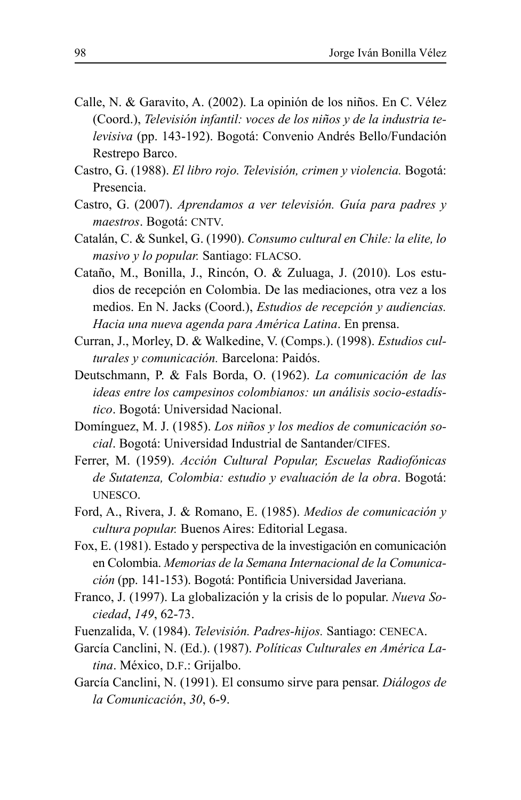- Calle, N. & Garavito, A. (2002). La opinión de los niños. En C. Vélez (Coord.), Televisión infantil: voces de los niños y de la industria televisiva (pp. 143-192). Bogotá: Convenio Andrés Bello/Fundación Restrepo Barco.
- Castro, G. (1988). El libro rojo. Televisión, crimen y violencia. Bogotá: Presencia.
- Castro, G. (2007). Aprendamos a ver televisión. Guía para padres y maestros. Bogotá: CNTV.
- Catalán, C. & Sunkel, G. (1990). Consumo cultural en Chile: la elite, lo masivo y lo popular. Santiago: FLACSO.
- Cataño, M., Bonilla, J., Rincón, O. & Zuluaga, J. (2010). Los estudios de recepción en Colombia. De las mediaciones, otra vez a los medios. En N. Jacks (Coord.), *Estudios de recepción y audiencias*. Hacia una nueva agenda para América Latina. En prensa.
- Curran, J., Morley, D. & Walkedine, V. (Comps.). (1998). *Estudios cul*turales y comunicación. Barcelona: Paidós.
- Deutschmann, P. & Fals Borda, O. (1962). La comunicación de las ideas entre los campesinos colombianos: un análisis socio-estadístico. Bogotá: Universidad Nacional.
- Domínguez, M. J. (1985). Los niños y los medios de comunicación social. Bogotá: Universidad Industrial de Santander/CIFES.
- Ferrer, M. (1959). Acción Cultural Popular, Escuelas Radiofónicas de Sutatenza, Colombia: estudio y evaluación de la obra. Bogotá: UNESCO.
- Ford, A., Rivera, J. & Romano, E. (1985). Medios de comunicación y cultura popular. Buenos Aires: Editorial Legasa.
- Fox, E. (1981). Estado y perspectiva de la investigación en comunicación en Colombia. Memorias de la Semana Internacional de la Comunicación (pp. 141-153). Bogotá: Pontificia Universidad Javeriana.
- Franco, J. (1997). La globalización y la crisis de lo popular. Nueva Sociedad, 149, 62-73.
- Fuenzalida, V. (1984). Televisión. Padres-hijos. Santiago: CENECA.
- García Canclini, N. (Ed.). (1987). Políticas Culturales en América Latina. México, D.F.: Grijalbo.
- García Canclini, N. (1991). El consumo sirve para pensar. Diálogos de la Comunicación, 30, 6-9.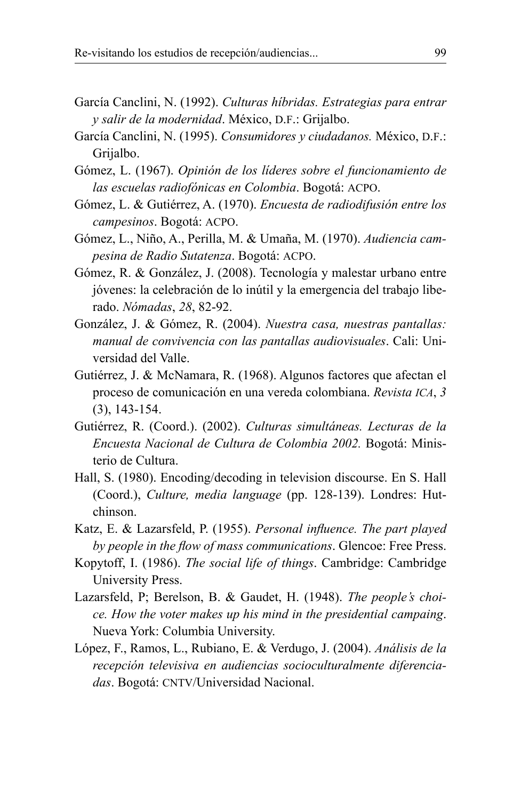- García Canclini, N. (1992). Culturas híbridas. Estrategias para entrar v salir de la modernidad. México, D.F.: Grijalbo.
- García Canclini, N. (1995). Consumidores y ciudadanos. México, D.F.: Grijalbo.
- Gómez, L. (1967). Opinión de los líderes sobre el funcionamiento de las escuelas radiofónicas en Colombia. Bogotá: ACPO.
- Gómez, L. & Gutiérrez, A. (1970). Encuesta de radiodifusión entre los campesinos. Bogotá: ACPO.
- Gómez, L., Niño, A., Perilla, M. & Umaña, M. (1970). Audiencia campesina de Radio Sutatenza. Bogotá: ACPO.
- Gómez, R. & González, J. (2008). Tecnología y malestar urbano entre jóvenes: la celebración de lo inútil y la emergencia del trabajo liberado. Nómadas, 28, 82-92.
- González, J. & Gómez, R. (2004). Nuestra casa, nuestras pantallas: *manual de convivencia con las pantallas audiovisuales. Cali: Uni*versidad del Valle.
- Gutiérrez, J. & McNamara, R. (1968). Algunos factores que afectan el proceso de comunicación en una vereda colombiana. Revista ICA, 3  $(3)$ , 143-154.
- Gutiérrez, R. (Coord.). (2002). Culturas simultáneas. Lecturas de la Encuesta Nacional de Cultura de Colombia 2002. Bogotá: Ministerio de Cultura.
- Hall, S. (1980). Encoding/decoding in television discourse. En S. Hall (Coord.), Culture, media language (pp. 128-139). Londres: Hutchinson.
- Katz, E. & Lazarsfeld, P. (1955). Personal influence. The part played by people in the flow of mass communications. Glencoe: Free Press.
- Kopytoff, I. (1986). The social life of things. Cambridge: Cambridge University Press.
- Lazarsfeld, P; Berelson, B. & Gaudet, H. (1948). The people's choice. How the voter makes up his mind in the presidential campaing. Nueva York: Columbia University.
- López, F., Ramos, L., Rubiano, E. & Verdugo, J. (2004). Análisis de la recepción televisiva en audiencias socioculturalmente diferenciadas. Bogotá: CNTV/Universidad Nacional.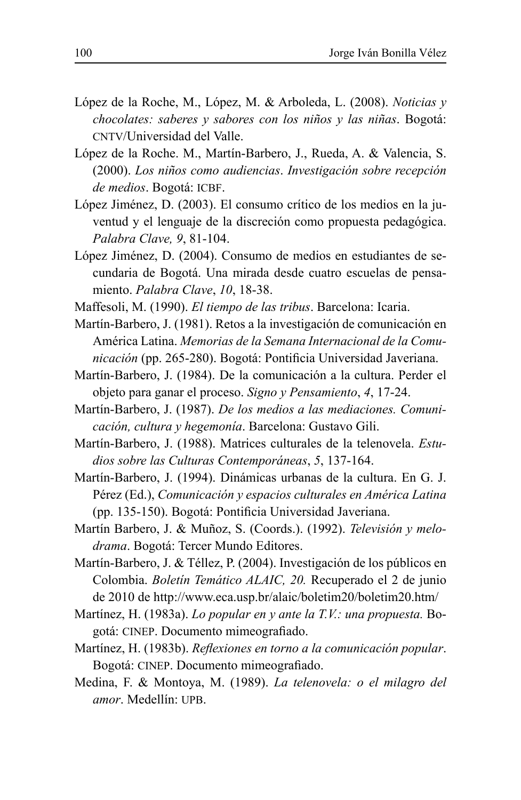- López de la Roche, M., López, M. & Arboleda, L. (2008). Noticias y chocolates: saberes y sabores con los niños y las niñas. Bogotá: CNTV/Universidad del Valle
- López de la Roche. M., Martín-Barbero, J., Rueda, A. & Valencia, S. (2000). Los niños como audiencias. Investigación sobre recepción de medios. Bogotá: ICBF.
- López Jiménez, D. (2003). El consumo crítico de los medios en la juventud y el lenguaje de la discreción como propuesta pedagógica. Palabra Clave, 9, 81-104.
- López Jiménez, D. (2004). Consumo de medios en estudiantes de secundaria de Bogotá. Una mirada desde cuatro escuelas de pensamiento. Palabra Clave, 10, 18-38.
- Maffesoli, M. (1990). El tiempo de las tribus. Barcelona: Icaria.
- Martín-Barbero, J. (1981). Retos a la investigación de comunicación en América Latina Memorias de la Semana Internacional de la Comunicación (pp. 265-280). Bogotá: Pontificia Universidad Javeriana.
- Martín-Barbero, J. (1984). De la comunicación a la cultura. Perder el objeto para ganar el proceso. Signo y Pensamiento, 4, 17-24.
- Martín-Barbero, J. (1987). De los medios a las mediaciones. Comunicación, cultura y hegemonía. Barcelona: Gustavo Gili.
- Martín-Barbero, J. (1988). Matrices culturales de la telenovela. Estudios sobre las Culturas Contemporáneas, 5, 137-164.
- Martín-Barbero, J. (1994). Dinámicas urbanas de la cultura. En G. J. Pérez (Ed.), Comunicación y espacios culturales en América Latina (pp. 135-150). Bogotá: Pontificia Universidad Javeriana.
- Martín Barbero, J. & Muñoz, S. (Coords.). (1992). Televisión y melodrama. Bogotá: Tercer Mundo Editores.
- Martín-Barbero, J. & Téllez, P. (2004). Investigación de los públicos en Colombia. Boletín Temático ALAIC, 20. Recuperado el 2 de junio de 2010 de http://www.eca.usp.br/alaic/boletim20/boletim20.htm/
- Martínez, H. (1983a). Lo popular en y ante la T.V.: una propuesta. Bogotá: CINEP. Documento mimeografiado.
- Martínez, H. (1983b). Reflexiones en torno a la comunicación popular. Bogotá: CINEP. Documento mimeografiado.
- Medina, F. & Montoya, M. (1989). La telenovela: o el milagro del amor Medellín UPB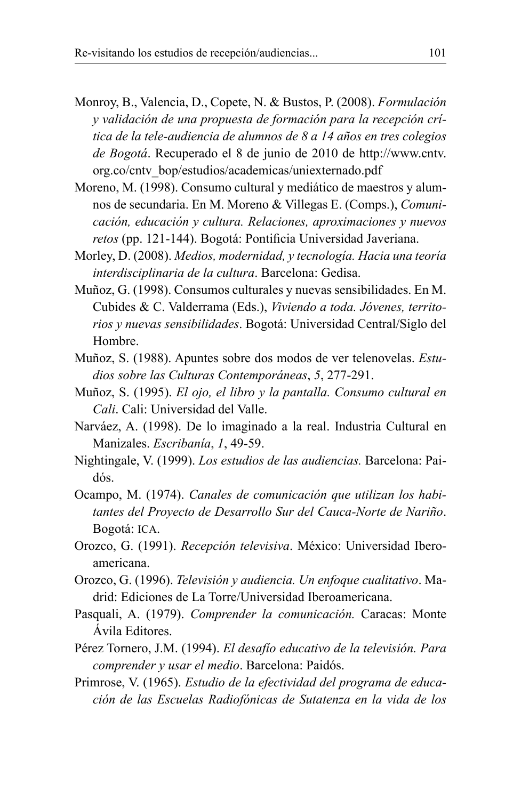- Monroy, B., Valencia, D., Copete, N. & Bustos, P. (2008). Formulación v validación de una propuesta de formación para la recepción crítica de la tele-audiencia de alumnos de 8 a 14 años en tres colegios de Bogotá. Recuperado el 8 de junio de 2010 de http://www.cntv. org.co/cntv\_bop/estudios/academicas/uniexternado.pdf
- Moreno, M. (1998). Consumo cultural y mediático de maestros y alumnos de secundaria. En M. Moreno & Villegas E. (Comps.), Comunicación, educación y cultura. Relaciones, aproximaciones y nuevos retos (pp. 121-144). Bogotá: Pontificia Universidad Javeriana.
- Morley, D. (2008). Medios, modernidad, y tecnología. Hacia una teoría interdisciplinaria de la cultura. Barcelona: Gedisa.
- Muñoz, G. (1998). Consumos culturales y nuevas sensibilidades. En M. Cubides & C. Valderrama (Eds.), Viviendo a toda. Jóvenes, territorios y nuevas sensibilidades. Bogotá: Universidad Central/Siglo del Hombre
- Muñoz, S. (1988). Apuntes sobre dos modos de ver telenovelas. Estudios sobre las Culturas Contemporáneas, 5, 277-291.
- Muñoz, S. (1995). El ojo, el libro y la pantalla. Consumo cultural en Cali. Cali: Universidad del Valle.
- Narváez, A. (1998). De lo imaginado a la real. Industria Cultural en Manizales. Escribanía, 1, 49-59.
- Nightingale, V. (1999). Los estudios de las audiencias. Barcelona: Paidós.
- Ocampo, M. (1974). Canales de comunicación que utilizan los habitantes del Provecto de Desarrollo Sur del Cauca-Norte de Nariño. Bogotá: ICA.
- Orozco, G. (1991). Recepción televisiva. México: Universidad Iberoamericana
- Orozco, G. (1996). Televisión y audiencia. Un enfoque cualitativo. Madrid: Ediciones de La Torre/Universidad Iberoamericana.
- Pasquali, A. (1979). Comprender la comunicación. Caracas: Monte Avila Editores.
- Pérez Tornero, J.M. (1994). El desafío educativo de la televisión. Para comprender y usar el medio. Barcelona: Paidós.
- Primrose, V. (1965). Estudio de la efectividad del programa de educación de las Escuelas Radiofónicas de Sutatenza en la vida de los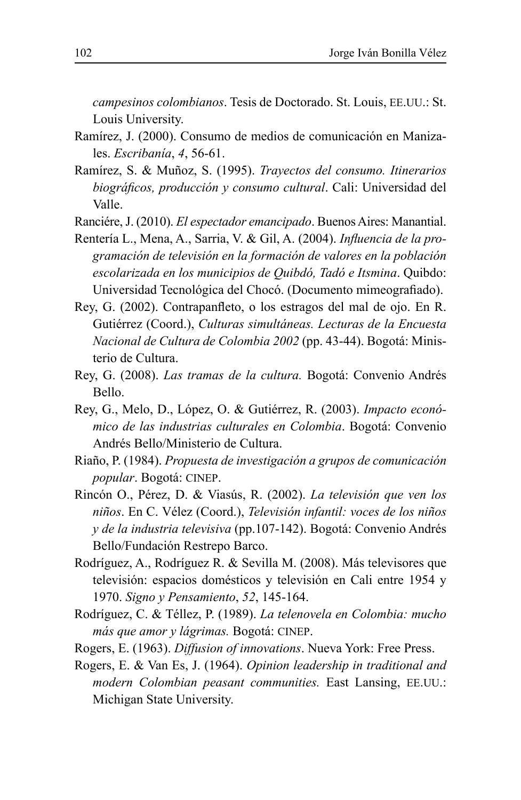campesinos colombianos. Tesis de Doctorado. St. Louis, EE.UU.: St. Louis University.

- Ramírez, J. (2000). Consumo de medios de comunicación en Manizales. Escribanía, 4, 56-61.
- Ramírez, S. & Muñoz, S. (1995). Travectos del consumo. Itinerarios biográficos, producción y consumo cultural. Cali: Universidad del Valle.
- Ranciére, J. (2010). El espectador emancipado. Buenos Aires: Manantial.
- Rentería L., Mena, A., Sarria, V. & Gil, A. (2004). Influencia de la programación de televisión en la formación de valores en la población escolarizada en los municipios de Quibdó, Tadó e Itsmina. Quibdo: Universidad Tecnológica del Chocó. (Documento mimeografiado).
- Rey, G. (2002). Contrapanfleto, o los estragos del mal de ojo. En R. Gutiérrez (Coord.), Culturas simultáneas. Lecturas de la Encuesta Nacional de Cultura de Colombia 2002 (pp. 43-44). Bogotá: Ministerio de Cultura.
- Rey, G. (2008). Las tramas de la cultura. Bogotá: Convenio Andrés Bello.
- Rey, G., Melo, D., López, O. & Gutiérrez, R. (2003). Impacto económico de las industrias culturales en Colombia. Bogotá: Convenio Andrés Bello/Ministerio de Cultura.
- Riaño, P. (1984). Propuesta de investigación a grupos de comunicación popular. Bogotá: CINEP.
- Rincón O., Pérez, D. & Viasús, R. (2002). La televisión que ven los niños. En C. Vélez (Coord.), Televisión infantil: voces de los niños y de la industria televisiva (pp.107-142). Bogotá: Convenio Andrés Bello/Fundación Restrepo Barco.
- Rodríguez, A., Rodríguez R. & Sevilla M. (2008). Más televisores que televisión: espacios domésticos y televisión en Cali entre 1954 y 1970. Signo y Pensamiento, 52, 145-164.
- Rodríguez, C. & Téllez, P. (1989). La telenovela en Colombia: mucho más que amor y lágrimas. Bogotá: CINEP.
- Rogers, E. (1963). Diffusion of innovations. Nueva York: Free Press.
- Rogers, E. & Van Es, J. (1964). Opinion leadership in traditional and modern Colombian peasant communities. East Lansing, EE.UU.: Michigan State University.